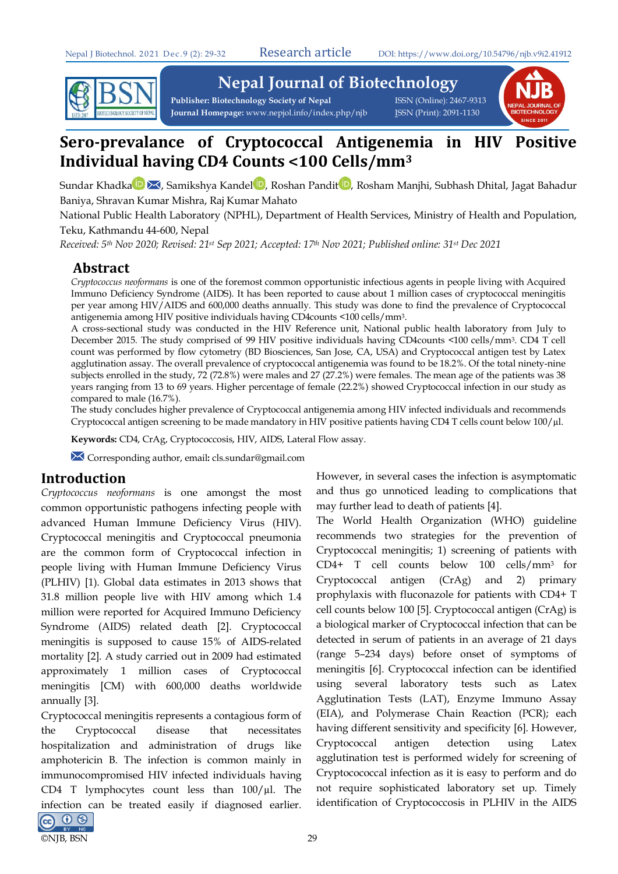

**Nepal Journal of Biotechnology** 

Publisher: Biotechnology Society of Nepal **ISSN** (Online): 2467-9313 Journal Homepage: www.nepjol.info/index.php/njb **ISSN** (Print): 2091-1130



# **Sero-prevalance of Cryptococcal Antigenemia in HIV Positive Individual having CD4 Counts <100 Cells/mm3**

Sund[a](https://orcid.org/0000-0002-5110-4446)r Khadka **D X**[,](https://orcid.org/0000-0001-5170-5500) Samikshya Kandel D, Roshan Pandi[t](https://orcid.org/0000-0003-2946-1233) D, Rosham Manjhi, Subhash Dhital, Jagat Bahadur Baniya, Shravan Kumar Mishra, Raj Kumar Mahato

National Public Health Laboratory (NPHL), Department of Health Services, Ministry of Health and Population, Teku, Kathmandu 44-600, Nepal

*Received: 5th Nov 2020; Revised: 21st Sep 2021; Accepted: 17th Nov 2021; Published online: 31st Dec 2021*

## **Abstract**

*Cryptococcus neoformans* is one of the foremost common opportunistic infectious agents in people living with Acquired Immuno Deficiency Syndrome (AIDS). It has been reported to cause about 1 million cases of cryptococcal meningitis per year among HIV/AIDS and 600,000 deaths annually. This study was done to find the prevalence of Cryptococcal antigenemia among HIV positive individuals having CD4counts <100 cells/mm3.

A cross-sectional study was conducted in the HIV Reference unit, National public health laboratory from July to December 2015. The study comprised of 99 HIV positive individuals having CD4counts <100 cells/mm3. CD4 T cell count was performed by flow cytometry (BD Biosciences, San Jose, CA, USA) and Cryptococcal antigen test by Latex agglutination assay. The overall prevalence of cryptococcal antigenemia was found to be 18.2%. Of the total ninety-nine subjects enrolled in the study, 72 (72.8%) were males and 27 (27.2%) were females. The mean age of the patients was 38 years ranging from 13 to 69 years. Higher percentage of female (22.2%) showed Cryptococcal infection in our study as compared to male (16.7%).

The study concludes higher prevalence of Cryptococcal antigenemia among HIV infected individuals and recommends Cryptococcal antigen screening to be made mandatory in HIV positive patients having CD4 T cells count below 100/µl.

**Keywords:** CD4, CrAg, Cryptococcosis, HIV, AIDS, Lateral Flow assay.

Corresponding author, email**:** cls.sundar@gmail.com

## **Introduction**

*Cryptococcus neoformans* is one amongst the most common opportunistic pathogens infecting people with advanced Human Immune Deficiency Virus (HIV). Cryptococcal meningitis and Cryptococcal pneumonia are the common form of Cryptococcal infection in people living with Human Immune Deficiency Virus (PLHIV) [\[1\)](#page-2-0). Global data estimates in 2013 shows that 31.8 million people live with HIV among which 1.4 million were reported for Acquired Immuno Deficiency Syndrome (AIDS) related death [\[2\]](#page-2-1). Cryptococcal meningitis is supposed to cause 15% of AIDS-related mortality [\[2\]](#page-2-1). A study carried out in 2009 had estimated approximately 1 million cases of Cryptococcal meningitis [CM) with 600,000 deaths worldwide annually [\[3\]](#page-2-2).

Cryptococcal meningitis represents a contagious form of the Cryptococcal disease that necessitates hospitalization and administration of drugs like amphotericin B. The infection is common mainly in immunocompromised HIV infected individuals having CD4 T lymphocytes count less than  $100/\mu$ l. The infection can be treated easily if diagnosed earlier. @ 0 ®



The World Health Organization (WHO) guideline recommends two strategies for the prevention of Cryptococcal meningitis; 1) screening of patients with CD4+ T cell counts below 100 cells/mm3 for Cryptococcal antigen (CrAg) and 2) primary prophylaxis with fluconazole for patients with CD4+ T cell counts below 100 [\[5\]](#page-2-4). Cryptococcal antigen (CrAg) is a biological marker of Cryptococcal infection that can be detected in serum of patients in an average of 21 days (range 5–234 days) before onset of symptoms of meningitis [6]. Cryptococcal infection can be identified using several laboratory tests such as Latex Agglutination Tests (LAT), Enzyme Immuno Assay (EIA), and Polymerase Chain Reaction (PCR); each having different sensitivity and specificity [\[6\]](#page-2-5). However, Cryptococcal antigen detection using Latex agglutination test is performed widely for screening of Cryptocococcal infection as it is easy to perform and do not require sophisticated laboratory set up. Timely identification of Cryptococcosis in PLHIV in the AIDS

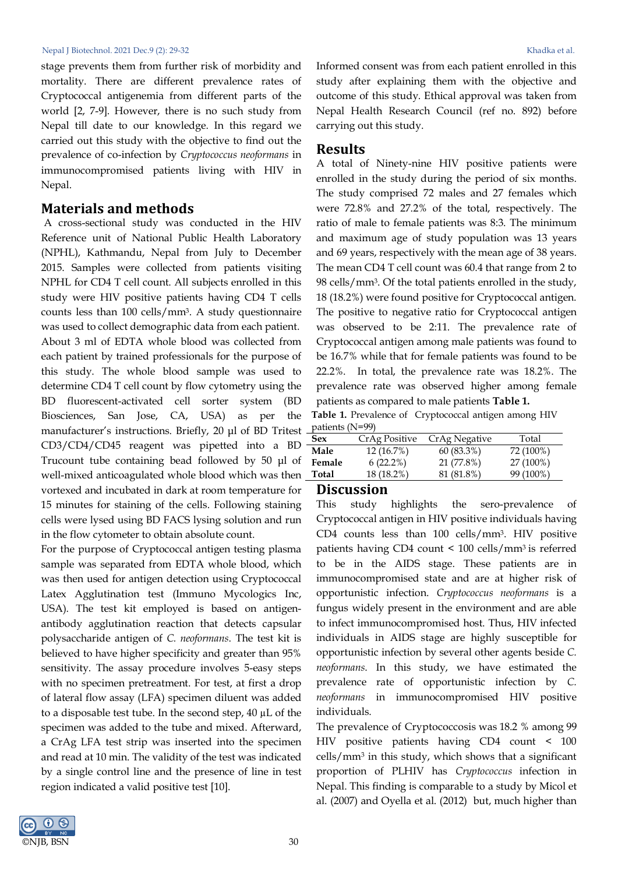#### Nepal J Biotechnol. 2021 Dec.9 (2): 29-32 Khadka et al.

stage prevents them from further risk of morbidity and mortality. There are different prevalence rates of Cryptococcal antigenemia from different parts of the world [\[2,](#page-2-1) [7-9\]](#page-2-6). However, there is no such study from Nepal till date to our knowledge. In this regard we carried out this study with the objective to find out the prevalence of co-infection by *Cryptococcus neoformans* in immunocompromised patients living with HIV in Nepal.

#### **Materials and methods**

 A cross-sectional study was conducted in the HIV Reference unit of National Public Health Laboratory (NPHL), Kathmandu, Nepal from July to December 2015. Samples were collected from patients visiting NPHL for CD4 T cell count. All subjects enrolled in this study were HIV positive patients having CD4 T cells counts less than 100 cells/mm3. A study questionnaire was used to collect demographic data from each patient. About 3 ml of EDTA whole blood was collected from each patient by trained professionals for the purpose of this study. The whole blood sample was used to determine CD4 T cell count by flow cytometry using the BD fluorescent-activated cell sorter system (BD Biosciences, San Jose, CA, USA) as per the manufacturer's instructions. Briefly, 20 μl of BD Tritest CD3/CD4/CD45 reagent was pipetted into a BD Trucount tube containing bead followed by 50 μl of well-mixed anticoagulated whole blood which was then vortexed and incubated in dark at room temperature for 15 minutes for staining of the cells. Following staining cells were lysed using BD FACS lysing solution and run in the flow cytometer to obtain absolute count.

For the purpose of Cryptococcal antigen testing plasma sample was separated from EDTA whole blood, which was then used for antigen detection using Cryptococcal Latex Agglutination test (Immuno Mycologics Inc, USA). The test kit employed is based on antigenantibody agglutination reaction that detects capsular polysaccharide antigen of *C. neoformans*. The test kit is believed to have higher specificity and greater than 95% sensitivity. The assay procedure involves 5-easy steps with no specimen pretreatment. For test, at first a drop of lateral flow assay (LFA) specimen diluent was added to a disposable test tube. In the second step, 40 µL of the specimen was added to the tube and mixed. Afterward, a CrAg LFA test strip was inserted into the specimen and read at 10 min. The validity of the test was indicated by a single control line and the presence of line in test region indicated a valid positive test [\[10\]](#page-3-0).

Informed consent was from each patient enrolled in this study after explaining them with the objective and outcome of this study. Ethical approval was taken from Nepal Health Research Council (ref no. 892) before carrying out this study.

#### **Results**

A total of Ninety-nine HIV positive patients were enrolled in the study during the period of six months. The study comprised 72 males and 27 females which were 72.8% and 27.2% of the total, respectively. The ratio of male to female patients was 8:3. The minimum and maximum age of study population was 13 years and 69 years, respectively with the mean age of 38 years. The mean CD4 T cell count was 60.4 that range from 2 to 98 cells/mm3. Of the total patients enrolled in the study, 18 (18.2%) were found positive for Cryptococcal antigen. The positive to negative ratio for Cryptococcal antigen was observed to be 2:11. The prevalence rate of Cryptococcal antigen among male patients was found to be 16.7% while that for female patients was found to be 22.2%. In total, the prevalence rate was 18.2%. The prevalence rate was observed higher among female patients as compared to male patients **Table 1.**

**Table 1.** Prevalence of Cryptococcal antigen among HIV patients (N=99)

| Sex    | CrAg Positive | CrAg Negative | Total     |
|--------|---------------|---------------|-----------|
| Male   | 12 (16.7%)    | $60(83.3\%)$  | 72 (100%) |
| Female | $6(22.2\%)$   | 21 (77.8%)    | 27 (100%) |
| Total  | 18 (18.2%)    | 81 (81.8%)    | 99 (100%) |
|        |               |               |           |

#### **Discussion**

This study highlights the sero-prevalence of Cryptococcal antigen in HIV positive individuals having CD4 counts less than 100 cells/mm3. HIV positive patients having CD4 count < 100 cells/mm3 is referred to be in the AIDS stage. These patients are in immunocompromised state and are at higher risk of opportunistic infection. *Cryptococcus neoformans* is a fungus widely present in the environment and are able to infect immunocompromised host. Thus, HIV infected individuals in AIDS stage are highly susceptible for opportunistic infection by several other agents beside *C. neoformans*. In this study, we have estimated the prevalence rate of opportunistic infection by *C. neoformans* in immunocompromised HIV positive individuals.

The prevalence of Cryptococcosis was 18.2 % among 99 HIV positive patients having CD4 count < 100 cells/mm<sup>3</sup> in this study, which shows that a significant proportion of PLHIV has *Cryptococcus* infection in Nepal. This finding is comparable to a study by Micol et al. (2007) and Oyella et al. (2012) but, much higher than

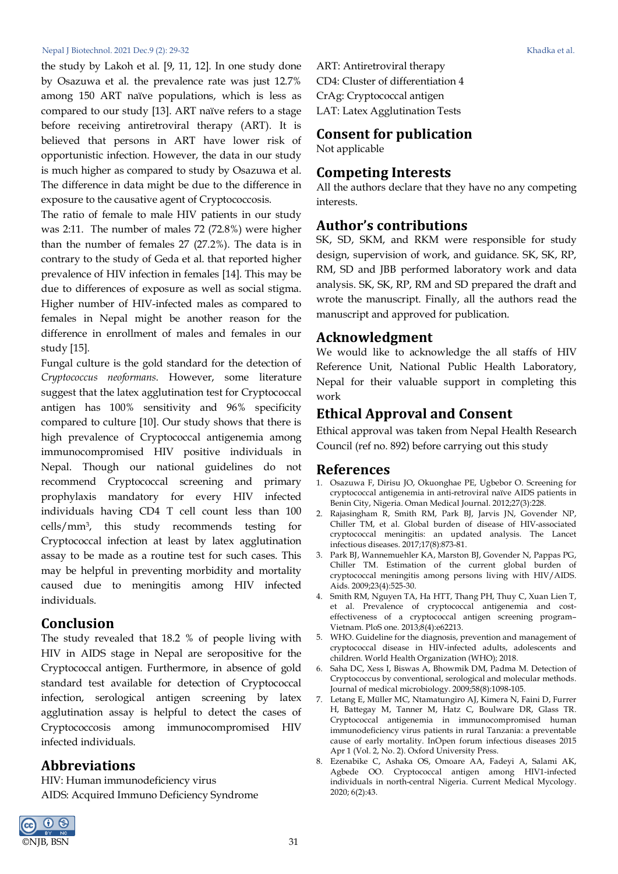#### Nepal J Biotechnol. 2021 Dec.9 (2): 29-32 Khadka et al.

the study by Lakoh et al. [\[9,](#page-3-1) [11,](#page-3-2) [12\]](#page-3-3). In one study done by Osazuwa et al. the prevalence rate was just 12.7% among 150 ART naïve populations, which is less as compared to our study [\[13\]](#page-3-4). ART naïve refers to a stage before receiving antiretroviral therapy (ART). It is believed that persons in ART have lower risk of opportunistic infection. However, the data in our study is much higher as compared to study by Osazuwa et al. The difference in data might be due to the difference in exposure to the causative agent of Cryptococcosis.

The ratio of female to male HIV patients in our study was 2:11. The number of males 72 (72.8%) were higher than the number of females 27 (27.2%). The data is in contrary to the study of Geda et al. that reported higher prevalence of HIV infection in females [\[14\]](#page-3-5). This may be due to differences of exposure as well as social stigma. Higher number of HIV-infected males as compared to females in Nepal might be another reason for the difference in enrollment of males and females in our study [\[15\]](#page-3-6).

Fungal culture is the gold standard for the detection of *Cryptococcus neoformans*. However, some literature suggest that the latex agglutination test for Cryptococcal antigen has 100% sensitivity and 96% specificity compared to culture [\[10\]](#page-3-0). Our study shows that there is high prevalence of Cryptococcal antigenemia among immunocompromised HIV positive individuals in Nepal. Though our national guidelines do not recommend Cryptococcal screening and primary prophylaxis mandatory for every HIV infected individuals having CD4 T cell count less than 100 cells/mm3, this study recommends testing for Cryptococcal infection at least by latex agglutination assay to be made as a routine test for such cases. This may be helpful in preventing morbidity and mortality caused due to meningitis among HIV infected individuals.

### **Conclusion**

The study revealed that 18.2 % of people living with HIV in AIDS stage in Nepal are seropositive for the Cryptococcal antigen. Furthermore, in absence of gold standard test available for detection of Cryptococcal infection, serological antigen screening by latex agglutination assay is helpful to detect the cases of Cryptococcosis among immunocompromised HIV infected individuals.

### **Abbreviations**

HIV: Human immunodeficiency virus AIDS: Acquired Immuno Deficiency Syndrome ART: Antiretroviral therapy CD4: Cluster of differentiation 4 CrAg: Cryptococcal antigen LAT: Latex Agglutination Tests

## **Consent for publication**

Not applicable

### **Competing Interests**

All the authors declare that they have no any competing interests.

### **Author's contributions**

SK, SD, SKM, and RKM were responsible for study design, supervision of work, and guidance. SK, SK, RP, RM, SD and JBB performed laboratory work and data analysis. SK, SK, RP, RM and SD prepared the draft and wrote the manuscript. Finally, all the authors read the manuscript and approved for publication.

### **Acknowledgment**

We would like to acknowledge the all staffs of HIV Reference Unit, National Public Health Laboratory, Nepal for their valuable support in completing this work

## **Ethical Approval and Consent**

Ethical approval was taken from Nepal Health Research Council (ref no. 892) before carrying out this study

#### **References**

- <span id="page-2-0"></span>1. Osazuwa F, Dirisu JO, Okuonghae PE, Ugbebor O. Screening for cryptococcal antigenemia in anti-retroviral naïve AIDS patients in Benin City, Nigeria. Oman Medical Journal. 2012;27(3):228.
- <span id="page-2-1"></span>2. Rajasingham R, Smith RM, Park BJ, Jarvis JN, Govender NP, Chiller TM, et al. Global burden of disease of HIV-associated cryptococcal meningitis: an updated analysis. The Lancet infectious diseases. 2017;17(8):873-81.
- <span id="page-2-2"></span>3. Park BJ, Wannemuehler KA, Marston BJ, Govender N, Pappas PG, Chiller TM. Estimation of the current global burden of cryptococcal meningitis among persons living with HIV/AIDS. Aids. 2009;23(4):525-30.
- <span id="page-2-3"></span>4. Smith RM, Nguyen TA, Ha HTT, Thang PH, Thuy C, Xuan Lien T, et al. Prevalence of cryptococcal antigenemia and costeffectiveness of a cryptococcal antigen screening program– Vietnam. PloS one. 2013;8(4):e62213.
- <span id="page-2-4"></span>5. WHO. Guideline for the diagnosis, prevention and management of cryptococcal disease in HIV-infected adults, adolescents and children. World Health Organization (WHO); 2018.
- <span id="page-2-5"></span>6. Saha DC, Xess I, Biswas A, Bhowmik DM, Padma M. Detection of Cryptococcus by conventional, serological and molecular methods. Journal of medical microbiology. 2009;58(8):1098-105.
- <span id="page-2-6"></span>7. Letang E, Müller MC, Ntamatungiro AJ, Kimera N, Faini D, Furrer H, Battegay M, Tanner M, Hatz C, Boulware DR, Glass TR. Cryptococcal antigenemia in immunocompromised human immunodeficiency virus patients in rural Tanzania: a preventable cause of early mortality. InOpen forum infectious diseases 2015 Apr 1 (Vol. 2, No. 2). Oxford University Press.
- 8. Ezenabike C, Ashaka OS, Omoare AA, Fadeyi A, Salami AK, Agbede OO. Cryptococcal antigen among HIV1-infected individuals in north-central Nigeria. Current Medical Mycology. 2020; 6(2):43.